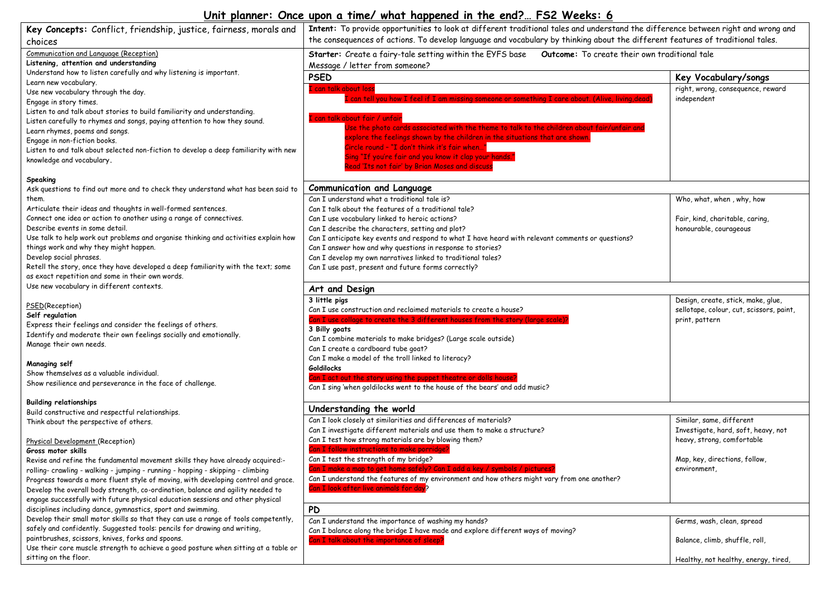## **Unit planner: Once upon a time/ what happened in the end?… FS2 Weeks: 6**

| Key Concepts: Conflict, friendship, justice, fairness, morals and                                                                                                     | Intent: To provide opportunities to look at different traditional tales and understand the difference between right and wrong and |                                          |  |  |
|-----------------------------------------------------------------------------------------------------------------------------------------------------------------------|-----------------------------------------------------------------------------------------------------------------------------------|------------------------------------------|--|--|
| choices                                                                                                                                                               | the consequences of actions. To develop language and vocabulary by thinking about the different features of traditional tales.    |                                          |  |  |
| Communication and Language (Reception)                                                                                                                                | Outcome: To create their own traditional tale<br>Starter: Create a fairy-tale setting within the EYFS base                        |                                          |  |  |
| Listening, attention and understanding                                                                                                                                | Message / letter from someone?                                                                                                    |                                          |  |  |
| Understand how to listen carefully and why listening is important.                                                                                                    | <b>PSED</b>                                                                                                                       | Key Vocabulary/songs                     |  |  |
| Learn new vocabulary.                                                                                                                                                 | I can talk about loss                                                                                                             | right, wrong, consequence, reward        |  |  |
| Use new vocabulary through the day.                                                                                                                                   | can tell you how I feel if I am missing someone or something I care about. (Alive, living,dead)                                   | independent                              |  |  |
| Engage in story times.                                                                                                                                                |                                                                                                                                   |                                          |  |  |
| Listen to and talk about stories to build familiarity and understanding.<br>Listen carefully to rhymes and songs, paying attention to how they sound.                 | I can talk about fair / unfair                                                                                                    |                                          |  |  |
|                                                                                                                                                                       | Use the photo cards associated with the theme to talk to the children about fair/unfair and                                       |                                          |  |  |
| Learn rhymes, poems and songs.<br>Engage in non-fiction books.                                                                                                        | explore the feelings shown by the children in the situations that are shown.                                                      |                                          |  |  |
| Listen to and talk about selected non-fiction to develop a deep familiarity with new                                                                                  | Circle round - "I don't think it's fair when…"                                                                                    |                                          |  |  |
| knowledge and vocabulary.                                                                                                                                             | Sing "If you're fair and you know it clap your hands."                                                                            |                                          |  |  |
|                                                                                                                                                                       | Read 'Its not fair' by Brian Moses and discuss                                                                                    |                                          |  |  |
| Speaking                                                                                                                                                              |                                                                                                                                   |                                          |  |  |
| Ask questions to find out more and to check they understand what has been said to                                                                                     | <b>Communication and Language</b>                                                                                                 |                                          |  |  |
| them.                                                                                                                                                                 | Can I understand what a traditional tale is?                                                                                      | Who, what, when, why, how                |  |  |
| Articulate their ideas and thoughts in well-formed sentences.                                                                                                         | Can I talk about the features of a traditional tale?                                                                              |                                          |  |  |
| Connect one idea or action to another using a range of connectives.                                                                                                   | Can I use vocabulary linked to heroic actions?                                                                                    | Fair, kind, charitable, caring,          |  |  |
| Describe events in some detail.                                                                                                                                       | Can I describe the characters, setting and plot?                                                                                  | honourable, courageous                   |  |  |
| Use talk to help work out problems and organise thinking and activities explain how                                                                                   | Can I anticipate key events and respond to what I have heard with relevant comments or questions?                                 |                                          |  |  |
| things work and why they might happen.                                                                                                                                | Can I answer how and why questions in response to stories?                                                                        |                                          |  |  |
| Develop social phrases.                                                                                                                                               | Can I develop my own narratives linked to traditional tales?                                                                      |                                          |  |  |
| Retell the story, once they have developed a deep familiarity with the text; some                                                                                     | Can I use past, present and future forms correctly?                                                                               |                                          |  |  |
| as exact repetition and some in their own words.                                                                                                                      |                                                                                                                                   |                                          |  |  |
| Use new vocabulary in different contexts.                                                                                                                             | Art and Design                                                                                                                    |                                          |  |  |
|                                                                                                                                                                       | 3 little pigs                                                                                                                     | Design, create, stick, make, glue,       |  |  |
| PSED(Reception)                                                                                                                                                       | Can I use construction and reclaimed materials to create a house?                                                                 | sellotape, colour, cut, scissors, paint, |  |  |
| Self regulation                                                                                                                                                       | Can I use collage to create the 3 different houses from the story (large scale)?                                                  | print, pattern                           |  |  |
| Express their feelings and consider the feelings of others.                                                                                                           | 3 Billy goats                                                                                                                     |                                          |  |  |
| Identify and moderate their own feelings socially and emotionally.                                                                                                    | Can I combine materials to make bridges? (Large scale outside)                                                                    |                                          |  |  |
| Manage their own needs.                                                                                                                                               | Can I create a cardboard tube goat?                                                                                               |                                          |  |  |
|                                                                                                                                                                       | Can I make a model of the troll linked to literacy?                                                                               |                                          |  |  |
| Managing self                                                                                                                                                         | <b>Goldilocks</b>                                                                                                                 |                                          |  |  |
| Show themselves as a valuable individual.                                                                                                                             | Can I act out the story using the puppet theatre or dolls house?                                                                  |                                          |  |  |
| Show resilience and perseverance in the face of challenge.                                                                                                            | Can I sing 'when goldilocks went to the house of the bears' and add music?                                                        |                                          |  |  |
|                                                                                                                                                                       |                                                                                                                                   |                                          |  |  |
| <b>Building relationships</b>                                                                                                                                         | Understanding the world                                                                                                           |                                          |  |  |
| Build constructive and respectful relationships.                                                                                                                      | Can I look closely at similarities and differences of materials?                                                                  | Similar, same, different                 |  |  |
| Think about the perspective of others.                                                                                                                                | Can I investigate different materials and use them to make a structure?                                                           | Investigate, hard, soft, heavy, not      |  |  |
|                                                                                                                                                                       | Can I test how strong materials are by blowing them?                                                                              | heavy, strong, comfortable               |  |  |
| Physical Development (Reception)                                                                                                                                      | Can I follow instructions to make porridge?                                                                                       |                                          |  |  |
| Gross motor skills                                                                                                                                                    | Can I test the strength of my bridge?                                                                                             | Map, key, directions, follow,            |  |  |
| Revise and refine the fundamental movement skills they have already acquired:-                                                                                        | T make a man to ast home a                                                                                                        | environment,                             |  |  |
| rolling- crawling - walking - jumping - running - hopping - skipping - climbing<br>Progress towards a more fluent style of moving, with developing control and grace. | Can I understand the features of my environment and how others might vary from one another?                                       |                                          |  |  |
| Develop the overall body strength, co-ordination, balance and agility needed to                                                                                       | Can I look after live animals for day?                                                                                            |                                          |  |  |
| engage successfully with future physical education sessions and other physical                                                                                        |                                                                                                                                   |                                          |  |  |
| disciplines including dance, gymnastics, sport and swimming.                                                                                                          | <b>PD</b>                                                                                                                         |                                          |  |  |
| Develop their small motor skills so that they can use a range of tools competently,                                                                                   |                                                                                                                                   |                                          |  |  |
| safely and confidently. Suggested tools: pencils for drawing and writing,                                                                                             | Can I understand the importance of washing my hands?                                                                              | Germs, wash, clean, spread               |  |  |
| paintbrushes, scissors, knives, forks and spoons.                                                                                                                     | Can I balance along the bridge I have made and explore different ways of moving?                                                  |                                          |  |  |
| Use their core muscle strength to achieve a good posture when sitting at a table or                                                                                   | Can I talk about the importance of sleep?                                                                                         | Balance, climb, shuffle, roll,           |  |  |
| sitting on the floor.                                                                                                                                                 |                                                                                                                                   | Healthy, not healthy, energy, tired,     |  |  |
|                                                                                                                                                                       |                                                                                                                                   |                                          |  |  |